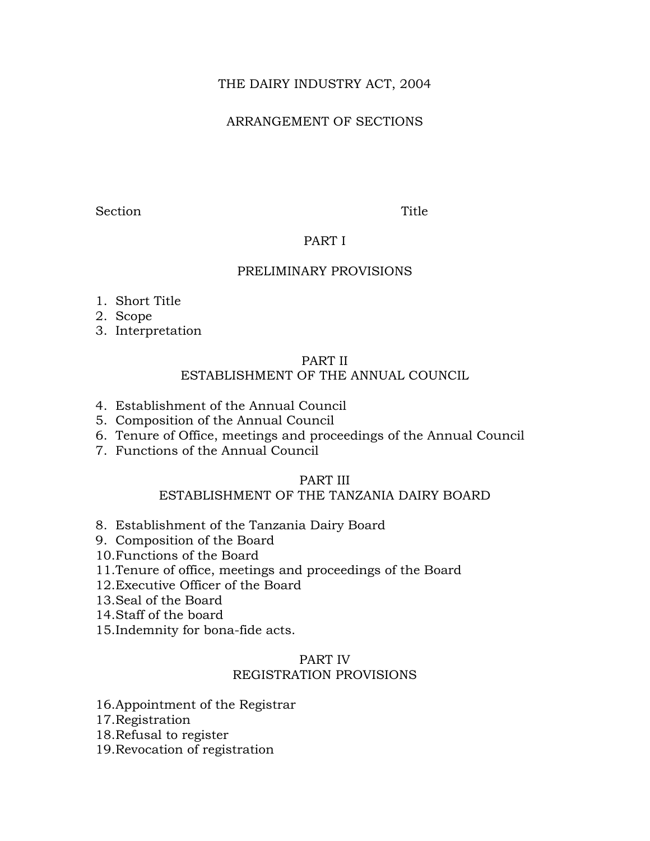# THE DAIRY INDUSTRY ACT, 2004

# ARRANGEMENT OF SECTIONS

Section Title

## PART I

## PRELIMINARY PROVISIONS

- 1. Short Title
- 2. Scope
- 3. Interpretation

#### PART II

# ESTABLISHMENT OF THE ANNUAL COUNCIL

- 4. Establishment of the Annual Council
- 5. Composition of the Annual Council
- 6. Tenure of Office, meetings and proceedings of the Annual Council
- 7. Functions of the Annual Council

# PART III

# ESTABLISHMENT OF THE TANZANIA DAIRY BOARD

- 8. Establishment of the Tanzania Dairy Board
- 9. Composition of the Board
- 10.Functions of the Board
- 11.Tenure of office, meetings and proceedings of the Board
- 12.Executive Officer of the Board
- 13.Seal of the Board
- 14.Staff of the board
- 15.Indemnity for bona-fide acts.

# PART IV REGISTRATION PROVISIONS

- 16.Appointment of the Registrar
- 17.Registration
- 18.Refusal to register
- 19.Revocation of registration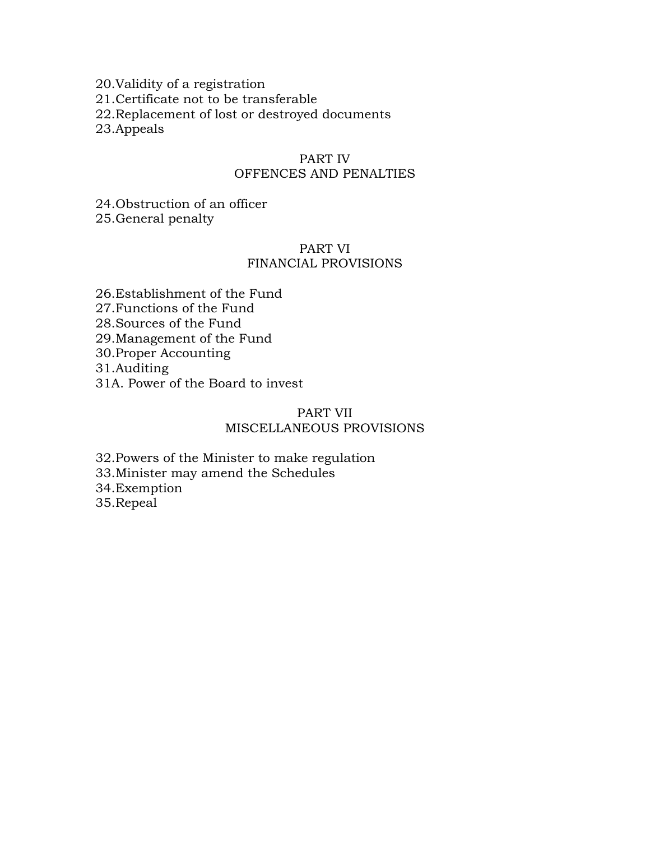20.Validity of a registration 21.Certificate not to be transferable 22.Replacement of lost or destroyed documents 23.Appeals

## PART IV OFFENCES AND PENALTIES

24.Obstruction of an officer 25.General penalty

### PART VI FINANCIAL PROVISIONS

26.Establishment of the Fund 27.Functions of the Fund 28.Sources of the Fund

29.Management of the Fund

30.Proper Accounting

31.Auditing

31A. Power of the Board to invest

## PART VII MISCELLANEOUS PROVISIONS

32.Powers of the Minister to make regulation 33.Minister may amend the Schedules 34.Exemption 35.Repeal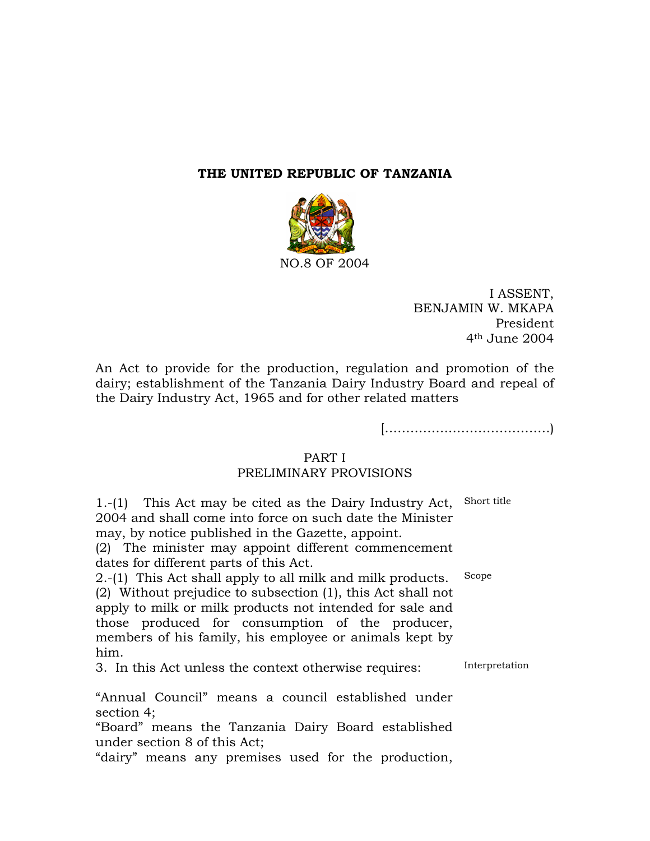#### **THE UNITED REPUBLIC OF TANZANIA**



I ASSENT, BENJAMIN W. MKAPA President 4th June 2004

An Act to provide for the production, regulation and promotion of the dairy; establishment of the Tanzania Dairy Industry Board and repeal of the Dairy Industry Act, 1965 and for other related matters

[…………………………………)

#### PART I

# PRELIMINARY PROVISIONS

1.-(1) This Act may be cited as the Dairy Industry Act, 2004 and shall come into force on such date the Minister may, by notice published in the Gazette, appoint. Short title (2) The minister may appoint different commencement dates for different parts of this Act. 2.-(1) This Act shall apply to all milk and milk products. Scope (2) Without prejudice to subsection (1), this Act shall not apply to milk or milk products not intended for sale and those produced for consumption of the producer, members of his family, his employee or animals kept by him. 3. In this Act unless the context otherwise requires: "Annual Council" means a council established under section 4; "Board" means the Tanzania Dairy Board established under section 8 of this Act; "dairy" means any premises used for the production, Interpretation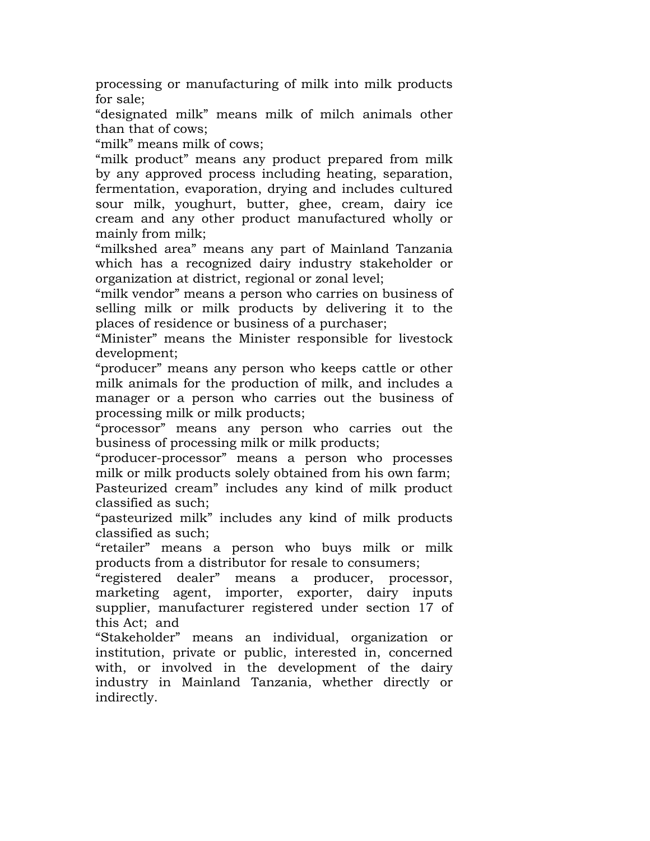processing or manufacturing of milk into milk products for sale;

"designated milk" means milk of milch animals other than that of cows;

"milk" means milk of cows;

"milk product" means any product prepared from milk by any approved process including heating, separation, fermentation, evaporation, drying and includes cultured sour milk, youghurt, butter, ghee, cream, dairy ice cream and any other product manufactured wholly or mainly from milk;

"milkshed area" means any part of Mainland Tanzania which has a recognized dairy industry stakeholder or organization at district, regional or zonal level;

"milk vendor" means a person who carries on business of selling milk or milk products by delivering it to the places of residence or business of a purchaser;

"Minister" means the Minister responsible for livestock development;

"producer" means any person who keeps cattle or other milk animals for the production of milk, and includes a manager or a person who carries out the business of processing milk or milk products;

"processor" means any person who carries out the business of processing milk or milk products;

"producer-processor" means a person who processes milk or milk products solely obtained from his own farm; Pasteurized cream" includes any kind of milk product classified as such;

"pasteurized milk" includes any kind of milk products classified as such;

"retailer" means a person who buys milk or milk products from a distributor for resale to consumers;

"registered dealer" means a producer, processor, marketing agent, importer, exporter, dairy inputs supplier, manufacturer registered under section 17 of this Act; and

"Stakeholder" means an individual, organization or institution, private or public, interested in, concerned with, or involved in the development of the dairy industry in Mainland Tanzania, whether directly or indirectly.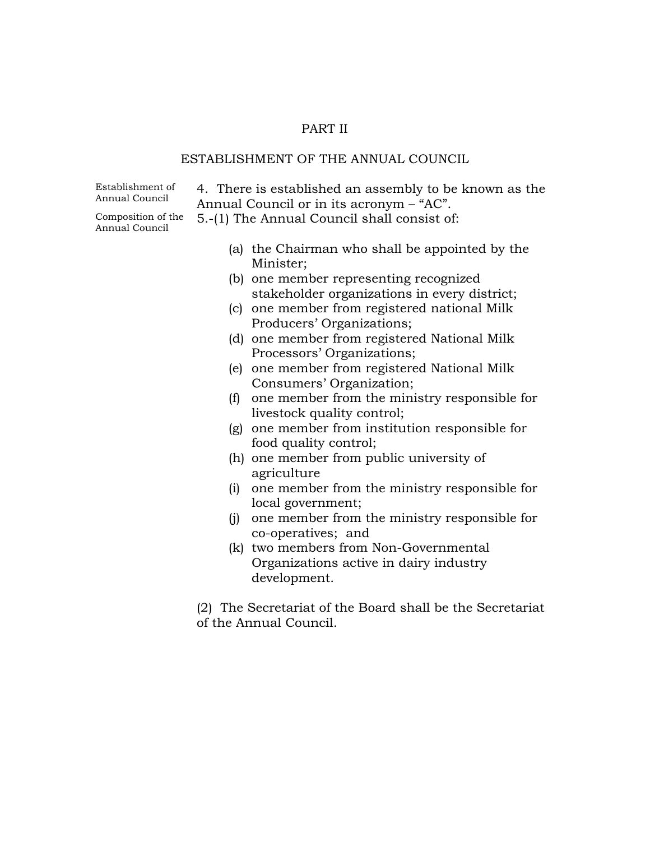#### PART II

#### ESTABLISHMENT OF THE ANNUAL COUNCIL

Establishment of

Establishment of  $\begin{array}{c} 4. \end{array}$  There is established an assembly to be known as the Annual Council  $\begin{array}{c} \end{array}$ Annual Council or in its acronym – "AC".

Composition of the

- 5.-(1) The Annual Council shall consist of:
	- (a) the Chairman who shall be appointed by the Minister;
	- (b) one member representing recognized stakeholder organizations in every district;
	- (c) one member from registered national Milk Producers' Organizations;
	- (d) one member from registered National Milk Processors' Organizations;
	- (e) one member from registered National Milk Consumers' Organization;
	- (f) one member from the ministry responsible for livestock quality control;
	- (g) one member from institution responsible for food quality control;
	- (h) one member from public university of agriculture
	- (i) one member from the ministry responsible for local government;
	- (j) one member from the ministry responsible for co-operatives; and
	- (k) two members from Non-Governmental Organizations active in dairy industry development.

(2) The Secretariat of the Board shall be the Secretariat of the Annual Council.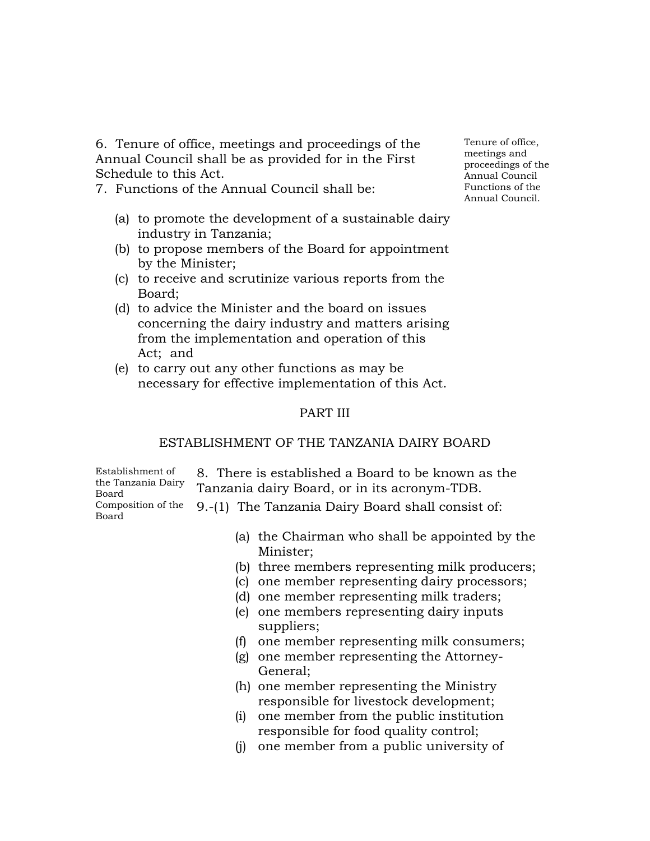6. Tenure of office, meetings and proceedings of the Annual Council shall be as provided for in the First Schedule to this Act.

7. Functions of the Annual Council shall be:

- (a) to promote the development of a sustainable dairy industry in Tanzania;
- (b) to propose members of the Board for appointment by the Minister;
- (c) to receive and scrutinize various reports from the Board;
- (d) to advice the Minister and the board on issues concerning the dairy industry and matters arising from the implementation and operation of this Act; and
- (e) to carry out any other functions as may be necessary for effective implementation of this Act.

## PART III

#### ESTABLISHMENT OF THE TANZANIA DAIRY BOARD

Establishment of the Tanzania Dairy Board Composition of the

8. There is established a Board to be known as the Tanzania dairy Board, or in its acronym-TDB. Composition of the  $\,$  9.-(1) The Tanzania Dairy Board shall consist of:<br>Board

- (a) the Chairman who shall be appointed by the Minister;
- (b) three members representing milk producers;
- (c) one member representing dairy processors;
- (d) one member representing milk traders;
- (e) one members representing dairy inputs suppliers;
- (f) one member representing milk consumers;
- (g) one member representing the Attorney-General;
- (h) one member representing the Ministry responsible for livestock development;
- (i) one member from the public institution responsible for food quality control;
- (j) one member from a public university of

Tenure of office, meetings and proceedings of the Annual Council Functions of the Annual Council.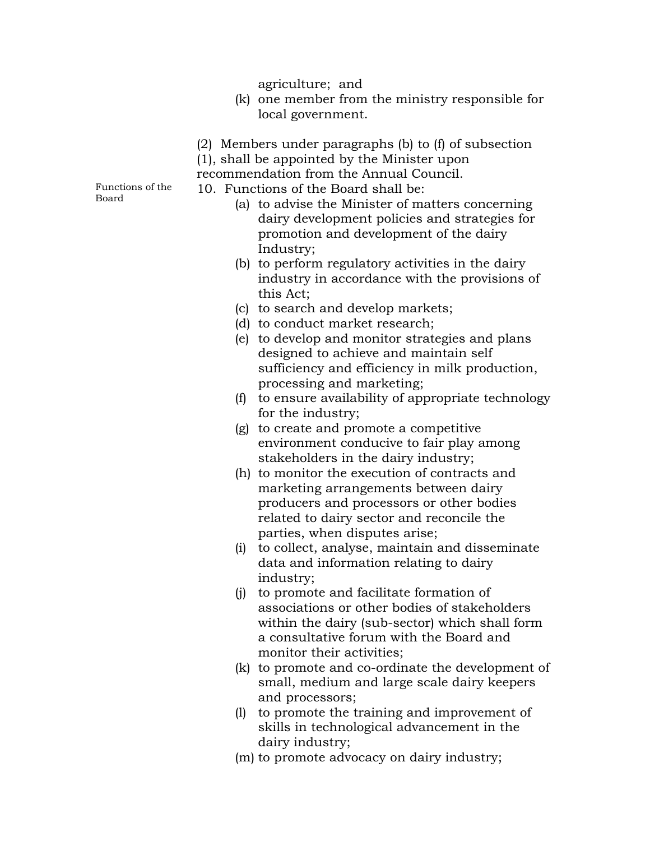agriculture; and

- (k) one member from the ministry responsible for local government.
- (2) Members under paragraphs (b) to (f) of subsection
- (1), shall be appointed by the Minister upon
- recommendation from the Annual Council.

10. Functions of the Board shall be:

Functions of the Board

- (a) to advise the Minister of matters concerning dairy development policies and strategies for promotion and development of the dairy Industry;
- (b) to perform regulatory activities in the dairy industry in accordance with the provisions of this Act;
- (c) to search and develop markets;
- (d) to conduct market research;
- (e) to develop and monitor strategies and plans designed to achieve and maintain self sufficiency and efficiency in milk production, processing and marketing;
- (f) to ensure availability of appropriate technology for the industry;
- (g) to create and promote a competitive environment conducive to fair play among stakeholders in the dairy industry;
- (h) to monitor the execution of contracts and marketing arrangements between dairy producers and processors or other bodies related to dairy sector and reconcile the parties, when disputes arise;
- (i) to collect, analyse, maintain and disseminate data and information relating to dairy industry;
- (j) to promote and facilitate formation of associations or other bodies of stakeholders within the dairy (sub-sector) which shall form a consultative forum with the Board and monitor their activities;
- (k) to promote and co-ordinate the development of small, medium and large scale dairy keepers and processors;
- (l) to promote the training and improvement of skills in technological advancement in the dairy industry;
- (m) to promote advocacy on dairy industry;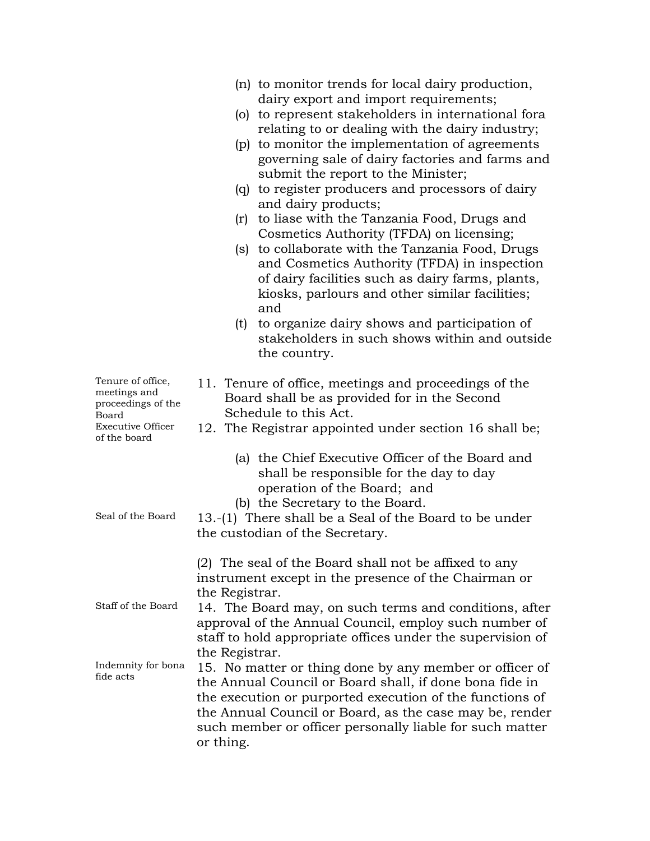| (n) to monitor trends for local dairy production,<br>dairy export and import requirements;<br>(o) to represent stakeholders in international fora<br>relating to or dealing with the dairy industry;<br>(p) to monitor the implementation of agreements<br>governing sale of dairy factories and farms and<br>submit the report to the Minister;<br>(q) to register producers and processors of dairy<br>and dairy products;<br>to liase with the Tanzania Food, Drugs and<br>(r)<br>Cosmetics Authority (TFDA) on licensing;<br>(s) to collaborate with the Tanzania Food, Drugs<br>and Cosmetics Authority (TFDA) in inspection<br>of dairy facilities such as dairy farms, plants,<br>kiosks, parlours and other similar facilities;<br>and<br>to organize dairy shows and participation of<br>(t)<br>stakeholders in such shows within and outside<br>the country. |
|------------------------------------------------------------------------------------------------------------------------------------------------------------------------------------------------------------------------------------------------------------------------------------------------------------------------------------------------------------------------------------------------------------------------------------------------------------------------------------------------------------------------------------------------------------------------------------------------------------------------------------------------------------------------------------------------------------------------------------------------------------------------------------------------------------------------------------------------------------------------|
| 11. Tenure of office, meetings and proceedings of the<br>Board shall be as provided for in the Second<br>Schedule to this Act.<br>12. The Registrar appointed under section 16 shall be;                                                                                                                                                                                                                                                                                                                                                                                                                                                                                                                                                                                                                                                                               |
| (a) the Chief Executive Officer of the Board and<br>shall be responsible for the day to day<br>operation of the Board; and<br>(b) the Secretary to the Board.<br>13.-(1) There shall be a Seal of the Board to be under<br>the custodian of the Secretary.                                                                                                                                                                                                                                                                                                                                                                                                                                                                                                                                                                                                             |
| (2) The seal of the Board shall not be affixed to any<br>instrument except in the presence of the Chairman or<br>the Registrar.<br>14. The Board may, on such terms and conditions, after<br>approval of the Annual Council, employ such number of                                                                                                                                                                                                                                                                                                                                                                                                                                                                                                                                                                                                                     |
| staff to hold appropriate offices under the supervision of<br>the Registrar.<br>15. No matter or thing done by any member or officer of<br>the Annual Council or Board shall, if done bona fide in<br>the execution or purported execution of the functions of<br>the Annual Council or Board, as the case may be, render<br>such member or officer personally liable for such matter<br>or thing.                                                                                                                                                                                                                                                                                                                                                                                                                                                                     |
|                                                                                                                                                                                                                                                                                                                                                                                                                                                                                                                                                                                                                                                                                                                                                                                                                                                                        |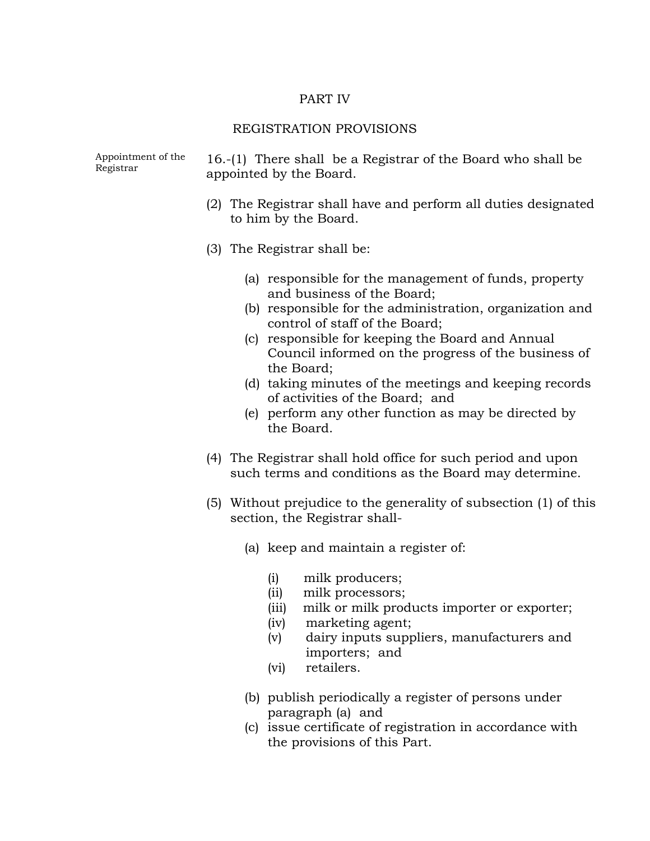#### PART IV

#### REGISTRATION PROVISIONS

Appointment of the  $16-(1)$  There shall be a Registrar of the Board who shall be Registrar

- (2) The Registrar shall have and perform all duties designated to him by the Board.
- (3) The Registrar shall be:
	- (a) responsible for the management of funds, property and business of the Board;
	- (b) responsible for the administration, organization and control of staff of the Board;
	- (c) responsible for keeping the Board and Annual Council informed on the progress of the business of the Board;
	- (d) taking minutes of the meetings and keeping records of activities of the Board; and
	- (e) perform any other function as may be directed by the Board.
- (4) The Registrar shall hold office for such period and upon such terms and conditions as the Board may determine.
- (5) Without prejudice to the generality of subsection (1) of this section, the Registrar shall-
	- (a) keep and maintain a register of:
		- (i) milk producers;
		- (ii) milk processors;
		- (iii) milk or milk products importer or exporter;
		- (iv) marketing agent;
		- (v) dairy inputs suppliers, manufacturers and importers; and
		- (vi) retailers.
	- (b) publish periodically a register of persons under paragraph (a) and
	- (c) issue certificate of registration in accordance with the provisions of this Part.

Appointment of the appointed by the Board.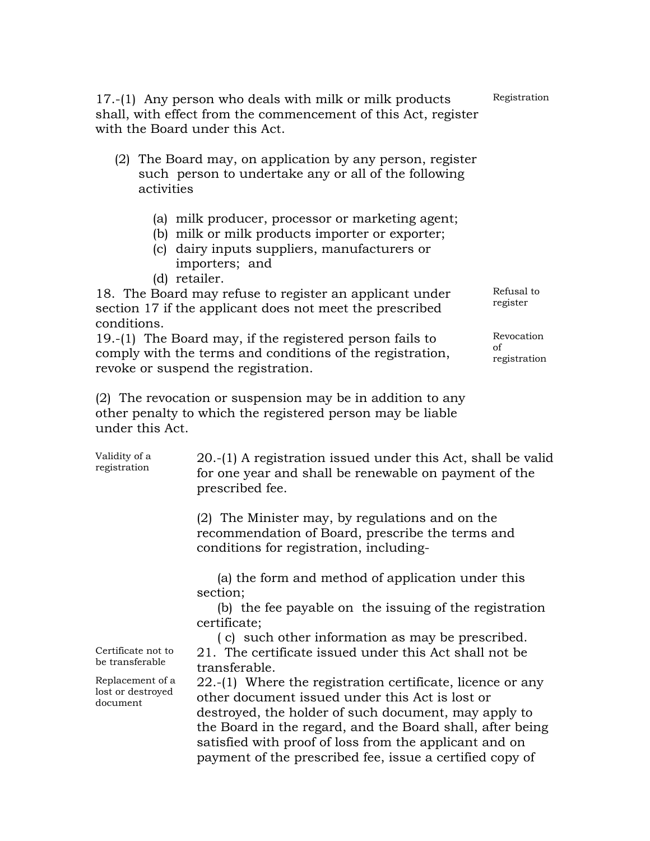| 17.-(1) Any person who deals with milk or milk products<br>shall, with effect from the commencement of this Act, register<br>with the Board under this Act.                                                                                                                                                                                                                                                                      | Registration                     |
|----------------------------------------------------------------------------------------------------------------------------------------------------------------------------------------------------------------------------------------------------------------------------------------------------------------------------------------------------------------------------------------------------------------------------------|----------------------------------|
| (2) The Board may, on application by any person, register<br>such person to undertake any or all of the following<br>activities                                                                                                                                                                                                                                                                                                  |                                  |
| (a) milk producer, processor or marketing agent;<br>(b) milk or milk products importer or exporter;<br>(c) dairy inputs suppliers, manufacturers or<br>importers; and<br>(d) retailer.                                                                                                                                                                                                                                           |                                  |
| 18. The Board may refuse to register an applicant under<br>section 17 if the applicant does not meet the prescribed<br>conditions.                                                                                                                                                                                                                                                                                               | Refusal to<br>register           |
| 19.-(1) The Board may, if the registered person fails to<br>comply with the terms and conditions of the registration,<br>revoke or suspend the registration.                                                                                                                                                                                                                                                                     | Revocation<br>of<br>registration |
| (2) The revocation or suspension may be in addition to any<br>other penalty to which the registered person may be liable<br>under this Act.                                                                                                                                                                                                                                                                                      |                                  |
| $\overline{M}$ $\overline{M}$ $\overline{M}$ $\overline{M}$ $\overline{M}$ $\overline{M}$ $\overline{M}$ $\overline{M}$<br>$\bigcap_{i=1}^{n}$ (1) A $\bigcup_{i=1}^{n}$ (1) $\bigcup_{i=1}^{n}$ (1) 1 $\bigcup_{i=1}^{n}$ (1) 1 $\bigcap_{i=1}^{n}$ (1) 1 $\bigcap_{i=1}^{n}$ (1) 1 $\bigcap_{i=1}^{n}$ (1) 1 $\bigcap_{i=1}^{n}$ (1) 1 $\bigcap_{i=1}^{n}$ (1) 1 $\bigcap_{i=1}^{n}$ (1) $\bigcap_{i=1}^{n}$ (1) $\bigcap_{i=$ | $\cdots$                         |

| Validity of a<br>registration                     | 20.-(1) A registration issued under this Act, shall be valid<br>for one year and shall be renewable on payment of the<br>prescribed fee.                                                                                                                                                                                                                    |
|---------------------------------------------------|-------------------------------------------------------------------------------------------------------------------------------------------------------------------------------------------------------------------------------------------------------------------------------------------------------------------------------------------------------------|
|                                                   | (2) The Minister may, by regulations and on the<br>recommendation of Board, prescribe the terms and<br>conditions for registration, including-                                                                                                                                                                                                              |
|                                                   | (a) the form and method of application under this<br>section;                                                                                                                                                                                                                                                                                               |
|                                                   | (b) the fee payable on the issuing of the registration<br>certificate;                                                                                                                                                                                                                                                                                      |
|                                                   | (c) such other information as may be prescribed.                                                                                                                                                                                                                                                                                                            |
| Certificate not to<br>be transferable             | 21. The certificate issued under this Act shall not be<br>transferable.                                                                                                                                                                                                                                                                                     |
| Replacement of a<br>lost or destroyed<br>document | $22.$ -(1) Where the registration certificate, licence or any<br>other document issued under this Act is lost or<br>destroyed, the holder of such document, may apply to<br>the Board in the regard, and the Board shall, after being<br>satisfied with proof of loss from the applicant and on<br>payment of the prescribed fee, issue a certified copy of |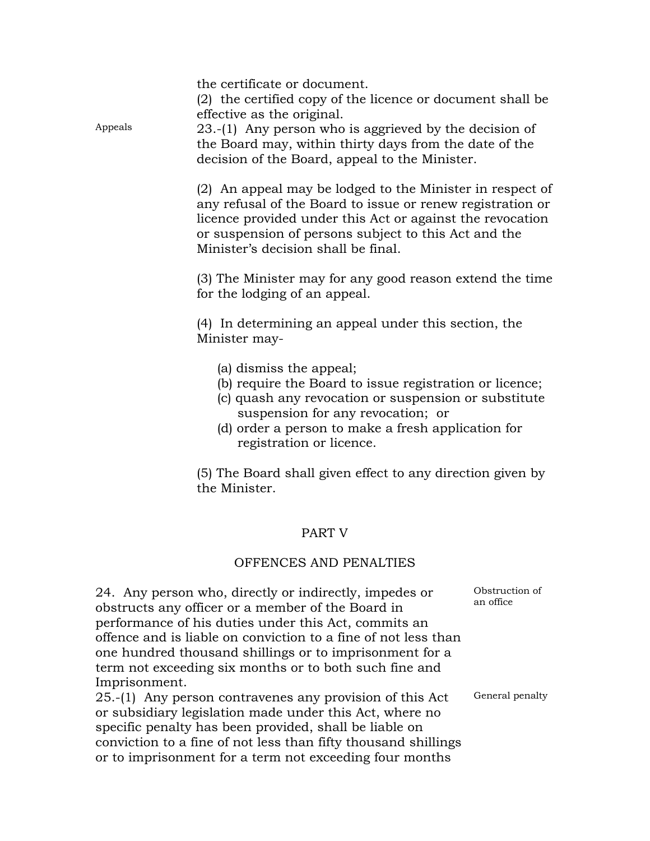the certificate or document.

(2) the certified copy of the licence or document shall be effective as the original.

Appeals 23.-(1) Any person who is aggrieved by the decision of the Board may, within thirty days from the date of the decision of the Board, appeal to the Minister.

> (2) An appeal may be lodged to the Minister in respect of any refusal of the Board to issue or renew registration or licence provided under this Act or against the revocation or suspension of persons subject to this Act and the Minister's decision shall be final.

> (3) The Minister may for any good reason extend the time for the lodging of an appeal.

(4) In determining an appeal under this section, the Minister may-

- (a) dismiss the appeal;
- (b) require the Board to issue registration or licence;
- (c) quash any revocation or suspension or substitute suspension for any revocation; or
- (d) order a person to make a fresh application for registration or licence.

(5) The Board shall given effect to any direction given by the Minister.

# PART V

#### OFFENCES AND PENALTIES

24. Any person who, directly or indirectly, impedes or obstructs any officer or a member of the Board in performance of his duties under this Act, commits an offence and is liable on conviction to a fine of not less than one hundred thousand shillings or to imprisonment for a term not exceeding six months or to both such fine and Imprisonment.

25.-(1) Any person contravenes any provision of this Act or subsidiary legislation made under this Act, where no specific penalty has been provided, shall be liable on conviction to a fine of not less than fifty thousand shillings or to imprisonment for a term not exceeding four months

Obstruction of an office

General penalty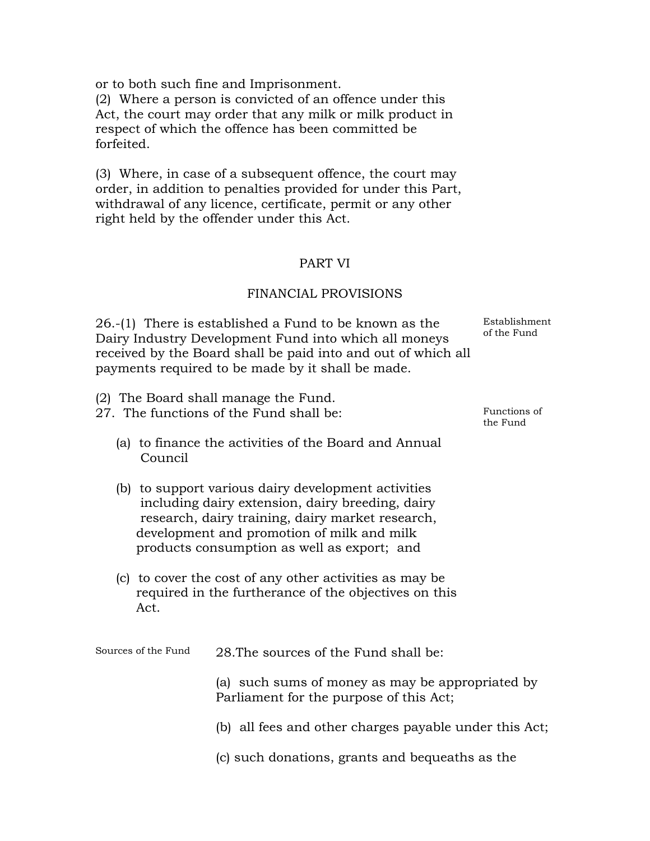or to both such fine and Imprisonment.

(2) Where a person is convicted of an offence under this Act, the court may order that any milk or milk product in respect of which the offence has been committed be forfeited.

(3) Where, in case of a subsequent offence, the court may order, in addition to penalties provided for under this Part, withdrawal of any licence, certificate, permit or any other right held by the offender under this Act.

# PART VI

#### FINANCIAL PROVISIONS

26.-(1) There is established a Fund to be known as the Dairy Industry Development Fund into which all moneys received by the Board shall be paid into and out of which all payments required to be made by it shall be made.

Establishment of the Fund

Functions of the Fund

- (2) The Board shall manage the Fund.
- 27. The functions of the Fund shall be:
	- (a) to finance the activities of the Board and Annual Council
	- (b) to support various dairy development activities including dairy extension, dairy breeding, dairy research, dairy training, dairy market research, development and promotion of milk and milk products consumption as well as export; and
	- (c) to cover the cost of any other activities as may be required in the furtherance of the objectives on this Act.

Sources of the Fund 28.The sources of the Fund shall be:

(a) such sums of money as may be appropriated by Parliament for the purpose of this Act;

- (b) all fees and other charges payable under this Act;
- (c) such donations, grants and bequeaths as the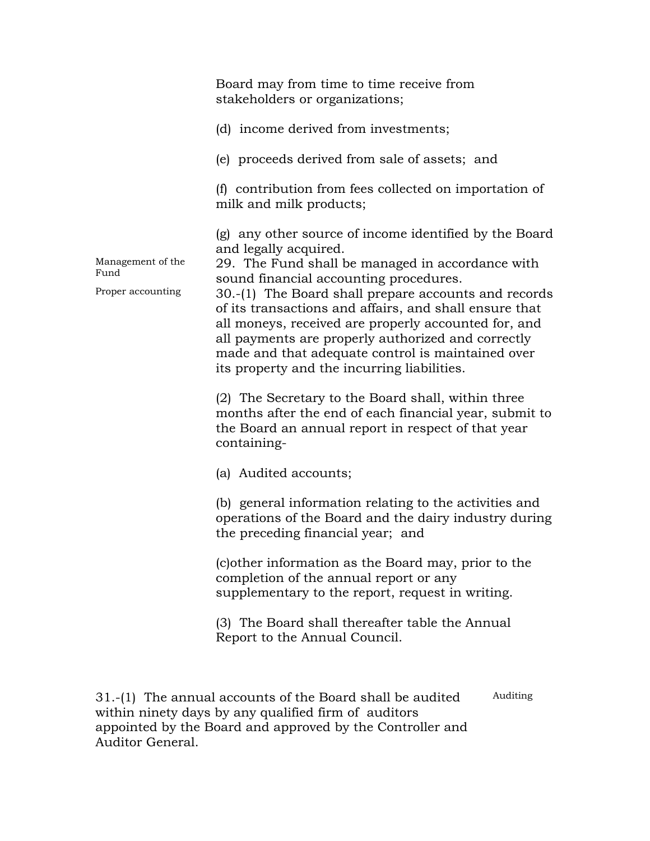Board may from time to time receive from stakeholders or organizations; (d) income derived from investments; (e) proceeds derived from sale of assets; and (f) contribution from fees collected on importation of milk and milk products; (g) any other source of income identified by the Board and legally acquired. Management of the Management of the  $29$ . The Fund shall be managed in accordance with Fund sound financial accounting procedures. Proper accounting 30.-(1) The Board shall prepare accounts and records of its transactions and affairs, and shall ensure that all moneys, received are properly accounted for, and all payments are properly authorized and correctly made and that adequate control is maintained over its property and the incurring liabilities. (2) The Secretary to the Board shall, within three months after the end of each financial year, submit to the Board an annual report in respect of that year containing- (a) Audited accounts; (b) general information relating to the activities and operations of the Board and the dairy industry during the preceding financial year; and (c)other information as the Board may, prior to the completion of the annual report or any supplementary to the report, request in writing. (3) The Board shall thereafter table the Annual Report to the Annual Council.

31.-(1) The annual accounts of the Board shall be audited within ninety days by any qualified firm of auditors appointed by the Board and approved by the Controller and Auditor General. Auditing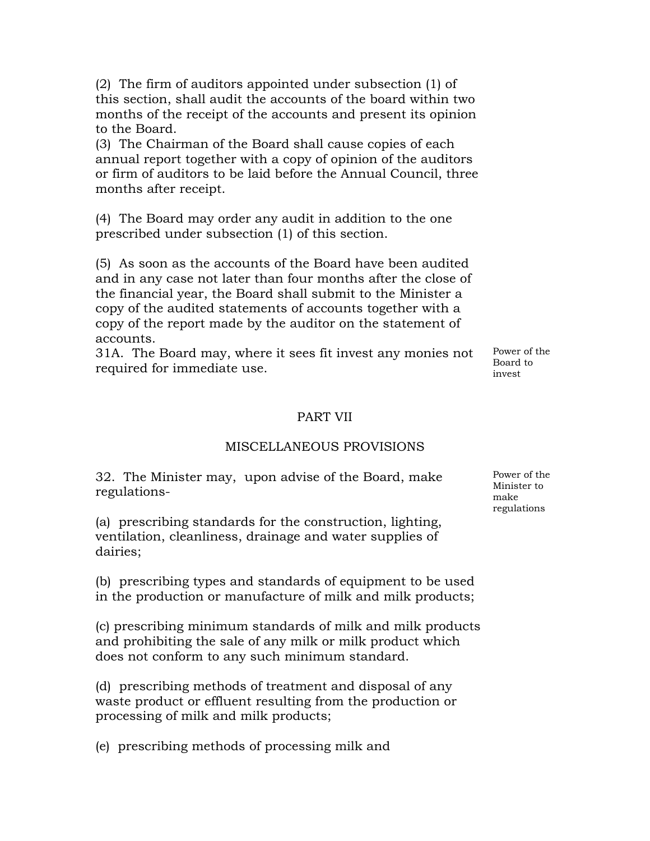(2) The firm of auditors appointed under subsection (1) of this section, shall audit the accounts of the board within two months of the receipt of the accounts and present its opinion to the Board.

(3) The Chairman of the Board shall cause copies of each annual report together with a copy of opinion of the auditors or firm of auditors to be laid before the Annual Council, three months after receipt.

(4) The Board may order any audit in addition to the one prescribed under subsection (1) of this section.

(5) As soon as the accounts of the Board have been audited and in any case not later than four months after the close of the financial year, the Board shall submit to the Minister a copy of the audited statements of accounts together with a copy of the report made by the auditor on the statement of accounts.

31A. The Board may, where it sees fit invest any monies not required for immediate use.

Power of the Board to invest

## PART VII

#### MISCELLANEOUS PROVISIONS

32. The Minister may, upon advise of the Board, make regulations-

(a) prescribing standards for the construction, lighting, ventilation, cleanliness, drainage and water supplies of dairies;

(b) prescribing types and standards of equipment to be used in the production or manufacture of milk and milk products;

(c) prescribing minimum standards of milk and milk products and prohibiting the sale of any milk or milk product which does not conform to any such minimum standard.

(d) prescribing methods of treatment and disposal of any waste product or effluent resulting from the production or processing of milk and milk products;

(e) prescribing methods of processing milk and

Power of the Minister to make regulations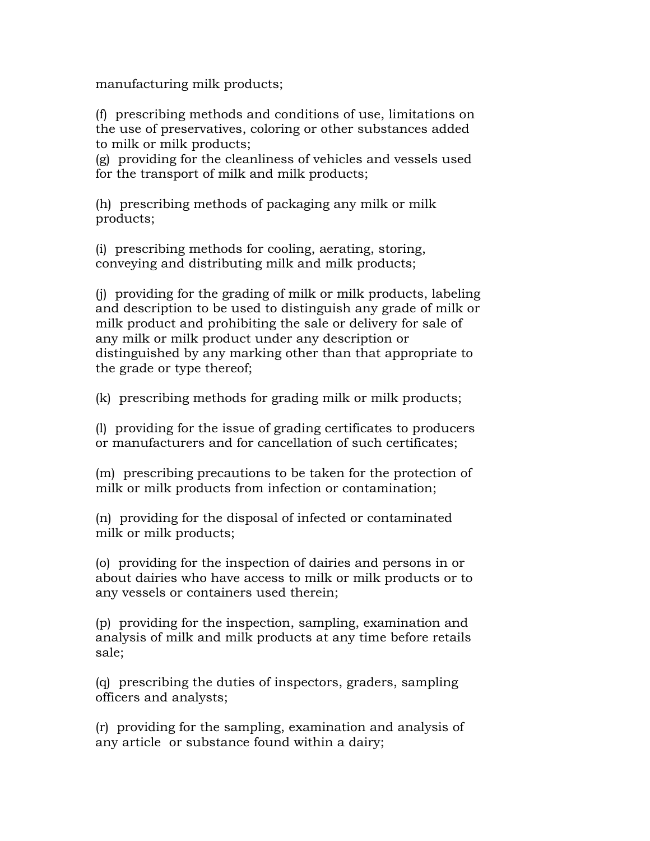manufacturing milk products;

(f) prescribing methods and conditions of use, limitations on the use of preservatives, coloring or other substances added to milk or milk products;

(g) providing for the cleanliness of vehicles and vessels used for the transport of milk and milk products;

(h) prescribing methods of packaging any milk or milk products;

(i) prescribing methods for cooling, aerating, storing, conveying and distributing milk and milk products;

(j) providing for the grading of milk or milk products, labeling and description to be used to distinguish any grade of milk or milk product and prohibiting the sale or delivery for sale of any milk or milk product under any description or distinguished by any marking other than that appropriate to the grade or type thereof;

(k) prescribing methods for grading milk or milk products;

(l) providing for the issue of grading certificates to producers or manufacturers and for cancellation of such certificates;

(m) prescribing precautions to be taken for the protection of milk or milk products from infection or contamination;

(n) providing for the disposal of infected or contaminated milk or milk products;

(o) providing for the inspection of dairies and persons in or about dairies who have access to milk or milk products or to any vessels or containers used therein;

(p) providing for the inspection, sampling, examination and analysis of milk and milk products at any time before retails sale;

(q) prescribing the duties of inspectors, graders, sampling officers and analysts;

(r) providing for the sampling, examination and analysis of any article or substance found within a dairy;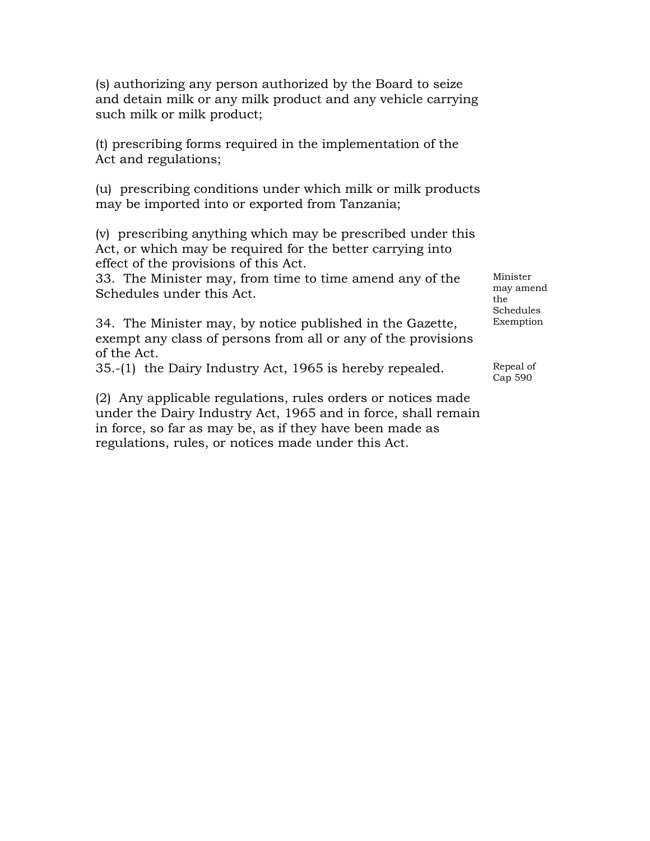(s) authorizing any person authorized by the Board to seize and detain milk or any milk product and any vehicle carrying such milk or milk product;

(t) prescribing forms required in the implementation of the Act and regulations;

(u) prescribing conditions under which milk or milk products may be imported into or exported from Tanzania;

(v) prescribing anything which may be prescribed under this Act, or which may be required for the better carrying into effect of the provisions of this Act.

33. The Minister may, from time to time amend any of the Schedules under this Act.

34. The Minister may, by notice published in the Gazette, exempt any class of persons from all or any of the provisions of the Act.

35.-(1) the Dairy Industry Act, 1965 is hereby repealed.

(2) Any applicable regulations, rules orders or notices made under the Dairy Industry Act, 1965 and in force, shall remain in force, so far as may be, as if they have been made as regulations, rules, or notices made under this Act.

Minister may amend the Schedules Exemption

Repeal of Cap 590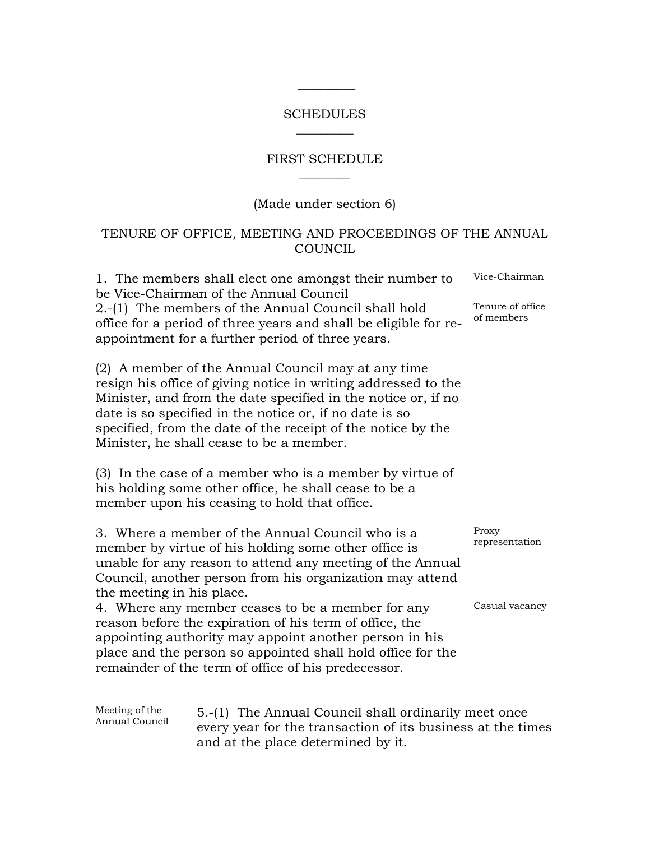### SCHEDULES  $\overline{\phantom{a}}$   $\overline{\phantom{a}}$

 $\frac{\frac{1}{2} \left( \frac{1}{2} \right) \left( \frac{1}{2} \right) \left( \frac{1}{2} \right) \left( \frac{1}{2} \right) \left( \frac{1}{2} \right) \left( \frac{1}{2} \right) \left( \frac{1}{2} \right) \left( \frac{1}{2} \right) \left( \frac{1}{2} \right) \left( \frac{1}{2} \right) \left( \frac{1}{2} \right) \left( \frac{1}{2} \right) \left( \frac{1}{2} \right) \left( \frac{1}{2} \right) \left( \frac{1}{2} \right) \left( \frac{1}{2} \right) \left($ 

# FIRST SCHEDULE  $\overline{\phantom{a}}$

# (Made under section 6)

# TENURE OF OFFICE, MEETING AND PROCEEDINGS OF THE ANNUAL COUNCIL

|                                  | 1. The members shall elect one amongst their number to<br>be Vice-Chairman of the Annual Council                                                                                                                                                                                                                                                             | Vice-Chairman                  |
|----------------------------------|--------------------------------------------------------------------------------------------------------------------------------------------------------------------------------------------------------------------------------------------------------------------------------------------------------------------------------------------------------------|--------------------------------|
|                                  | 2.-(1) The members of the Annual Council shall hold<br>office for a period of three years and shall be eligible for re-<br>appointment for a further period of three years.                                                                                                                                                                                  | Tenure of office<br>of members |
|                                  | (2) A member of the Annual Council may at any time<br>resign his office of giving notice in writing addressed to the<br>Minister, and from the date specified in the notice or, if no<br>date is so specified in the notice or, if no date is so<br>specified, from the date of the receipt of the notice by the<br>Minister, he shall cease to be a member. |                                |
|                                  | (3) In the case of a member who is a member by virtue of<br>his holding some other office, he shall cease to be a<br>member upon his ceasing to hold that office.                                                                                                                                                                                            |                                |
| the meeting in his place.        | 3. Where a member of the Annual Council who is a<br>member by virtue of his holding some other office is<br>unable for any reason to attend any meeting of the Annual<br>Council, another person from his organization may attend                                                                                                                            | Proxy<br>representation        |
|                                  | 4. Where any member ceases to be a member for any<br>reason before the expiration of his term of office, the<br>appointing authority may appoint another person in his<br>place and the person so appointed shall hold office for the<br>remainder of the term of office of his predecessor.                                                                 | Casual vacancy                 |
| Meeting of the<br>Annual Council | 5.-(1) The Annual Council shall ordinarily meet once<br>every year for the transaction of its business at the times                                                                                                                                                                                                                                          |                                |

and at the place determined by it.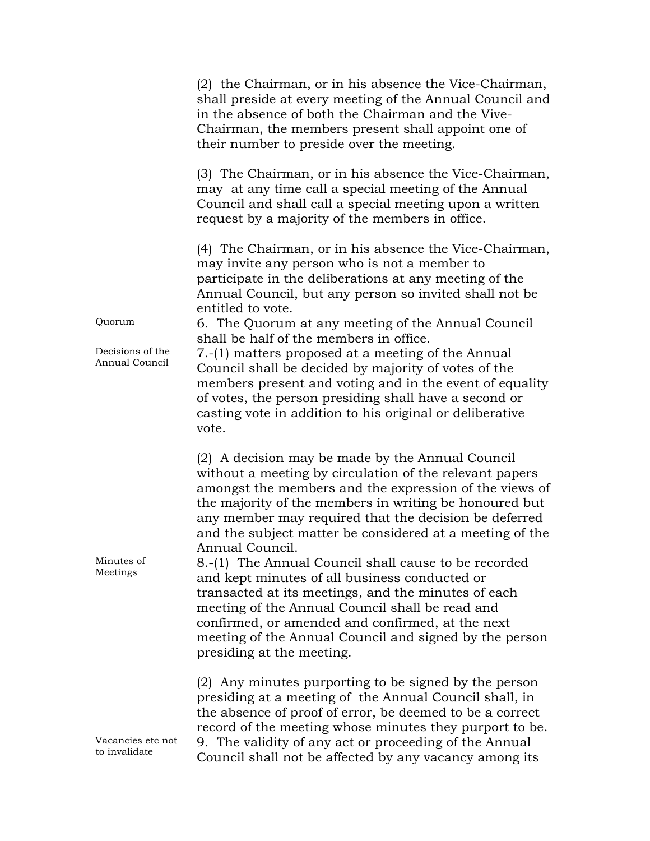|                                              | (2) the Chairman, or in his absence the Vice-Chairman,<br>shall preside at every meeting of the Annual Council and<br>in the absence of both the Chairman and the Vive-<br>Chairman, the members present shall appoint one of<br>their number to preside over the meeting.                                                                                                                                                                                                                                                                                                                                                                                                                                                            |
|----------------------------------------------|---------------------------------------------------------------------------------------------------------------------------------------------------------------------------------------------------------------------------------------------------------------------------------------------------------------------------------------------------------------------------------------------------------------------------------------------------------------------------------------------------------------------------------------------------------------------------------------------------------------------------------------------------------------------------------------------------------------------------------------|
|                                              | (3) The Chairman, or in his absence the Vice-Chairman,<br>may at any time call a special meeting of the Annual<br>Council and shall call a special meeting upon a written<br>request by a majority of the members in office.                                                                                                                                                                                                                                                                                                                                                                                                                                                                                                          |
| Quorum<br>Decisions of the<br>Annual Council | (4) The Chairman, or in his absence the Vice-Chairman,<br>may invite any person who is not a member to<br>participate in the deliberations at any meeting of the<br>Annual Council, but any person so invited shall not be<br>entitled to vote.<br>6. The Quorum at any meeting of the Annual Council<br>shall be half of the members in office.<br>7.-(1) matters proposed at a meeting of the Annual<br>Council shall be decided by majority of votes of the<br>members present and voting and in the event of equality<br>of votes, the person presiding shall have a second or<br>casting vote in addition to his original or deliberative<br>vote.                                                                               |
| Minutes of<br>Meetings                       | (2) A decision may be made by the Annual Council<br>without a meeting by circulation of the relevant papers<br>amongst the members and the expression of the views of<br>the majority of the members in writing be honoured but<br>any member may required that the decision be deferred<br>and the subject matter be considered at a meeting of the<br>Annual Council.<br>8.-(1) The Annual Council shall cause to be recorded<br>and kept minutes of all business conducted or<br>transacted at its meetings, and the minutes of each<br>meeting of the Annual Council shall be read and<br>confirmed, or amended and confirmed, at the next<br>meeting of the Annual Council and signed by the person<br>presiding at the meeting. |
| Vacancies etc not<br>to invalidate           | (2) Any minutes purporting to be signed by the person<br>presiding at a meeting of the Annual Council shall, in<br>the absence of proof of error, be deemed to be a correct<br>record of the meeting whose minutes they purport to be.<br>9. The validity of any act or proceeding of the Annual<br>Council shall not be affected by any vacancy among its                                                                                                                                                                                                                                                                                                                                                                            |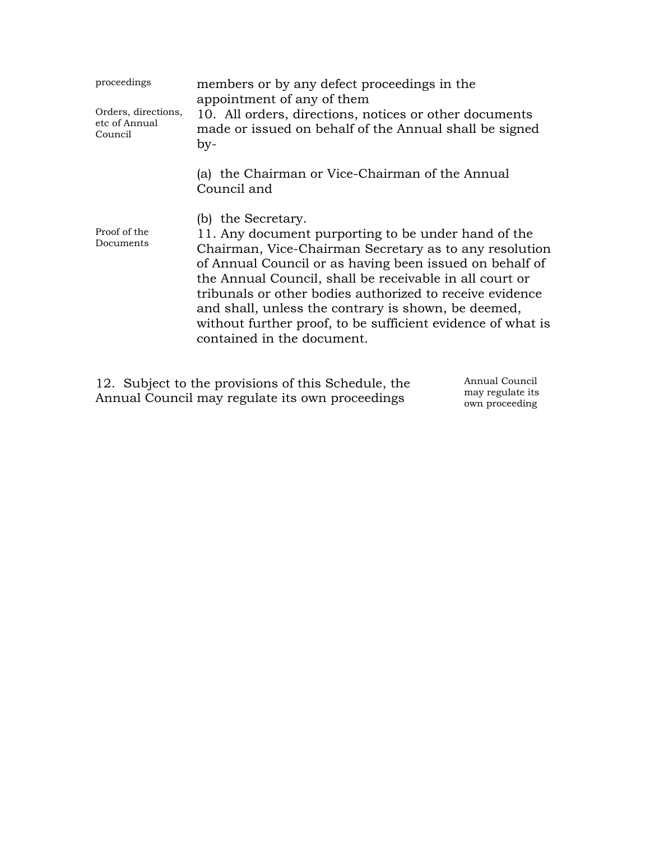| proceedings<br>Orders, directions,<br>etc of Annual<br>Council | members or by any defect proceedings in the<br>appointment of any of them<br>10. All orders, directions, notices or other documents<br>made or issued on behalf of the Annual shall be signed<br>by-                                                                                                                                                                                                                                                                      |
|----------------------------------------------------------------|---------------------------------------------------------------------------------------------------------------------------------------------------------------------------------------------------------------------------------------------------------------------------------------------------------------------------------------------------------------------------------------------------------------------------------------------------------------------------|
|                                                                | (a) the Chairman or Vice-Chairman of the Annual<br>Council and                                                                                                                                                                                                                                                                                                                                                                                                            |
| Proof of the<br>Documents                                      | (b) the Secretary.<br>11. Any document purporting to be under hand of the<br>Chairman, Vice-Chairman Secretary as to any resolution<br>of Annual Council or as having been issued on behalf of<br>the Annual Council, shall be receivable in all court or<br>tribunals or other bodies authorized to receive evidence<br>and shall, unless the contrary is shown, be deemed,<br>without further proof, to be sufficient evidence of what is<br>contained in the document. |

12. Subject to the provisions of this Schedule, the Annual Council may regulate its own proceedings

Annual Council may regulate its own proceeding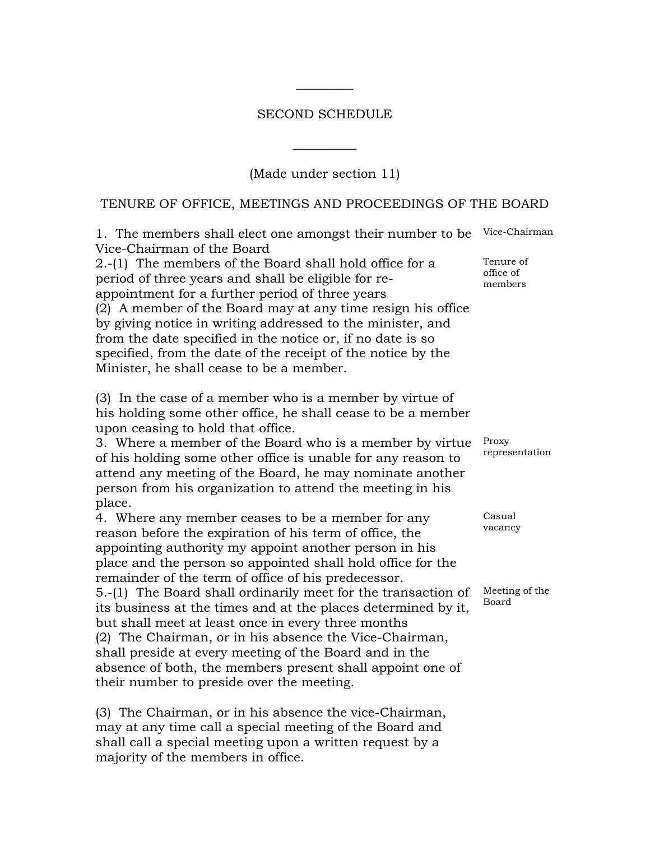### SECOND SCHEDULE

 $\overline{\phantom{a}}$   $\overline{\phantom{a}}$ 

(Made under section 11)

 $\overline{\phantom{a}}$  , where  $\overline{\phantom{a}}$ 

### TENURE OF OFFICE, MEETINGS AND PROCEEDINGS OF THE BOARD

1. The members shall elect one amongst their number to be Vice-Chairman of the Board Vice-Chairman 2.-(1) The members of the Board shall hold office for a period of three years and shall be eligible for reappointment for a further period of three years office of members (2) A member of the Board may at any time resign his office by giving notice in writing addressed to the minister, and from the date specified in the notice or, if no date is so specified, from the date of the receipt of the notice by the Minister, he shall cease to be a member. (3) In the case of a member who is a member by virtue of his holding some other office, he shall cease to be a member upon ceasing to hold that office. 3. Where a member of the Board who is a member by virtue of his holding some other office is unable for any reason to attend any meeting of the Board, he may nominate another person from his organization to attend the meeting in his place. Proxy 4. Where any member ceases to be a member for any reason before the expiration of his term of office, the appointing authority my appoint another person in his place and the person so appointed shall hold office for the remainder of the term of office of his predecessor. Casual vacancy 5.-(1) The Board shall ordinarily meet for the transaction of its business at the times and at the places determined by it, but shall meet at least once in every three months Board (2) The Chairman, or in his absence the Vice-Chairman, shall preside at every meeting of the Board and in the absence of both, the members present shall appoint one of their number to preside over the meeting. (3) The Chairman, or in his absence the vice-Chairman,

may at any time call a special meeting of the Board and shall call a special meeting upon a written request by a majority of the members in office.

Tenure of

representation

Meeting of the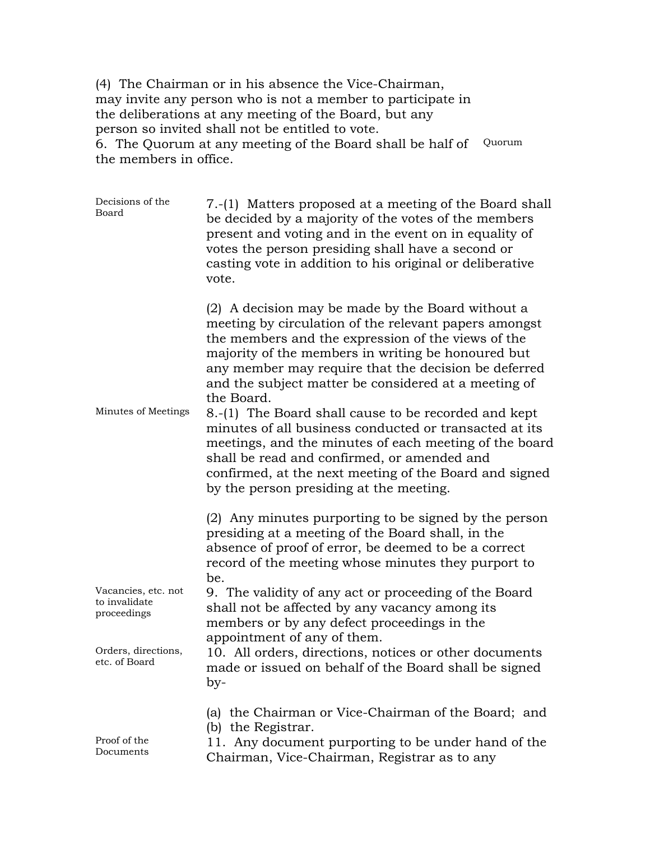(4) The Chairman or in his absence the Vice-Chairman, may invite any person who is not a member to participate in the deliberations at any meeting of the Board, but any person so invited shall not be entitled to vote.

6. The Quorum at any meeting of the Board shall be half of Quorum the members in office.

| Decisions of the<br>Board                                                  | 7.-(1) Matters proposed at a meeting of the Board shall<br>be decided by a majority of the votes of the members<br>present and voting and in the event on in equality of<br>votes the person presiding shall have a second or<br>casting vote in addition to his original or deliberative<br>vote.                                                                                                                                                                                                                                                                                                                                                                                   |
|----------------------------------------------------------------------------|--------------------------------------------------------------------------------------------------------------------------------------------------------------------------------------------------------------------------------------------------------------------------------------------------------------------------------------------------------------------------------------------------------------------------------------------------------------------------------------------------------------------------------------------------------------------------------------------------------------------------------------------------------------------------------------|
| Minutes of Meetings                                                        | (2) A decision may be made by the Board without a<br>meeting by circulation of the relevant papers amongst<br>the members and the expression of the views of the<br>majority of the members in writing be honoured but<br>any member may require that the decision be deferred<br>and the subject matter be considered at a meeting of<br>the Board.<br>8.-(1) The Board shall cause to be recorded and kept<br>minutes of all business conducted or transacted at its<br>meetings, and the minutes of each meeting of the board<br>shall be read and confirmed, or amended and<br>confirmed, at the next meeting of the Board and signed<br>by the person presiding at the meeting. |
| Vacancies, etc. not<br>to invalidate<br>proceedings<br>Orders, directions, | (2) Any minutes purporting to be signed by the person<br>presiding at a meeting of the Board shall, in the<br>absence of proof of error, be deemed to be a correct<br>record of the meeting whose minutes they purport to<br>be.<br>9. The validity of any act or proceeding of the Board<br>shall not be affected by any vacancy among its<br>members or by any defect proceedings in the<br>appointment of any of them.<br>10. All orders, directions, notices or other documents                                                                                                                                                                                                  |
| etc. of Board                                                              | made or issued on behalf of the Board shall be signed<br>by-                                                                                                                                                                                                                                                                                                                                                                                                                                                                                                                                                                                                                         |
| Proof of the<br>Documents                                                  | (a) the Chairman or Vice-Chairman of the Board; and<br>(b) the Registrar.<br>11. Any document purporting to be under hand of the<br>Chairman, Vice-Chairman, Registrar as to any                                                                                                                                                                                                                                                                                                                                                                                                                                                                                                     |